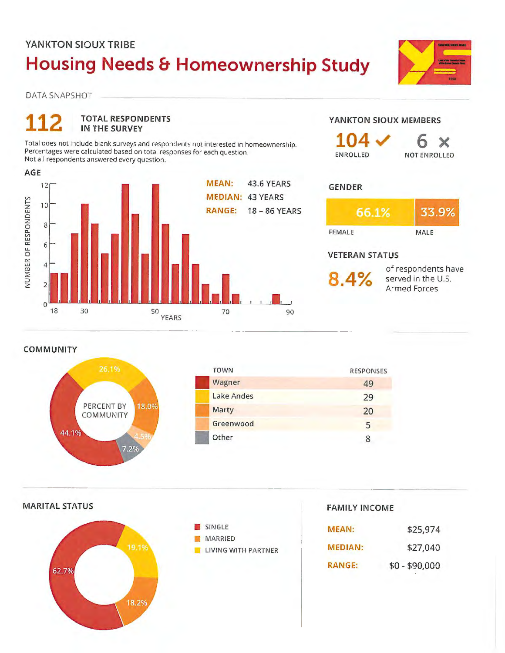## **YANKTON SIOUX TRIBE Housing Needs & Homeownership Study**

ANATON SINUA TALE

 $\chi$ 

DATA SNAPSHOT



**COMMUNITY** 







**FAMILY INCOME** 

| <b>MEAN:</b>   | \$25,974       |
|----------------|----------------|
| <b>MEDIAN:</b> | \$27,040       |
| <b>RANGE:</b>  | $$0 - $90,000$ |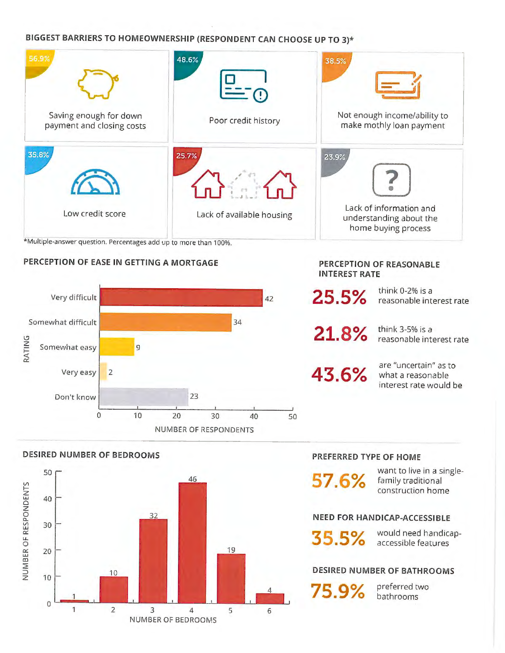#### **BIGGEST BARRIERS TO HOMEOWNERSHIP (RESPONDENT CAN CHOOSE UP TO 3)\***



\*Multiple-answer question. Percentages add up to more than 100%.

#### **PERCEPTION OF EASE IN GETTING A MORTGAGE**





2 3 4 s 6

NUMBER OF BEDROOMS

#### **PREFERRED TYPE OF HOME**

**PERCEPTION OF REASONABLE** 

think 0-2% is a

think 3-5% is a

reasonable interest rate

reasonable interest rate

are "uncertain" as to what a reasonable interest rate would be

**INTEREST RATE** 

**25.5%** 

**21.8%** 

**43.6%** 

**57.6%** 

want to live in a singlefamily traditional construction home

#### **NEED FOR HANDICAP-ACCESSIBLE**

**35.5%** would need handicap-

#### **DESIRED NUMBER OF BATHROOMS**

75.9% **preferred two** 

Vl I-z

z 0 a..

a:: u. 0

amr

0

1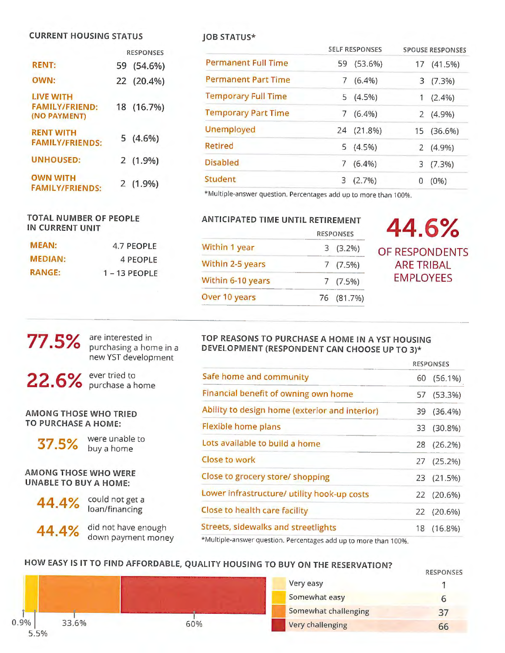#### **CURRENT HOUSING STATUS**

|                                                           |    | <b>RESPONSES</b> |
|-----------------------------------------------------------|----|------------------|
| <b>RENT:</b>                                              | 59 | $(54.6\%)$       |
| OWN:                                                      |    | 22 (20.4%)       |
| <b>LIVE WITH</b><br><b>FAMILY/FRIEND:</b><br>(NO PAYMENT) |    | 18 (16.7%)       |
| <b>RENT WITH</b><br><b>FAMILY/FRIENDS:</b>                |    | $5(4.6\%)$       |
| <b>UNHOUSED:</b>                                          |    | $2(1.9\%)$       |
| <b>OWN WITH</b><br><b>FAMILY/FRIENDS:</b>                 |    | $2(1.9\%)$       |

#### **TOTAL NUMBER OF PEOPLE IN CURRENT UNIT**

| <b>MEAN:</b>   | 4.7 PEOPLE      |
|----------------|-----------------|
| <b>MEDIAN:</b> | 4 PEOPLE        |
| <b>RANGE:</b>  | $1 - 13$ PEOPLE |

#### **JOB STATUS\***

|                            |    | <b>SELF RESPONSES</b> |   | <b>SPOUSE RESPONSES</b> |
|----------------------------|----|-----------------------|---|-------------------------|
| <b>Permanent Full Time</b> | 59 | $(53.6\%)$            |   | 17 (41.5%)              |
| <b>Permanent Part Time</b> |    | $(6.4\%)$             |   | 3(7.3%)                 |
| <b>Temporary Full Time</b> |    | $5(4.5\%)$            |   | $(2.4\%)$               |
| <b>Temporary Part Time</b> | 7  | $(6.4\%)$             |   | $2(4.9\%)$              |
| Unemployed                 |    | 24 (21.8%)            |   | 15 (36.6%)              |
| <b>Retired</b>             |    | 5(4.5%)               |   | $2(4.9\%)$              |
| <b>Disabled</b>            | 7  | $(6.4\%)$             |   | 3(7.3%)                 |
| Student                    |    | $3(2.7\%)$            | 0 | $(0\%)$                 |

\*Multiple-answer question. Percentages add up to more than 100%.

#### **ANTICIPATED TIME UNTIL RETIREMENT**

|                   | <b>RESPONSES</b> |            |
|-------------------|------------------|------------|
| Within 1 year     |                  | $3(3.2\%)$ |
| Within 2-5 years  |                  | 7(7.5%)    |
| Within 6-10 years |                  | 7(7.5%)    |
| Over 10 years     |                  | 76 (81.7%) |

### RESPONSES **44.6%**  OF RESPONDENTS **ARE TRIBAL EMPLOYEES**

# **77.5%**

purchasing a home in a new YST development

are interested in

**22.6%** ever tried to purchase a home

**AMONG THOSE WHO TRIED TO PURCHASE A HOME:** 



**37.5%** were unable to

**AMONG THOSE WHO WERE UNABLE TO BUY A HOME:** 



**44.4% could not get a** loan/financing

**44.4%**  did not have enough down payment money

#### **TOP REASONS TO PURCHASE A HOME IN A YST HOUSING DEVELOPMENT (RESPONDENT CAN CHOOSE UP TO 3)\***

|                                                                          |    | <b>RESPONSES</b> |
|--------------------------------------------------------------------------|----|------------------|
| Safe home and community                                                  | 60 | $(56.1\%)$       |
| Financial benefit of owning own home                                     |    | 57 (53.3%)       |
| Ability to design home (exterior and interior)                           | 39 | $(36.4\%)$       |
| <b>Flexible home plans</b>                                               | 33 | $(30.8\%)$       |
| Lots available to build a home                                           | 28 | (26.2%)          |
| Close to work                                                            |    | 27 (25.2%)       |
| Close to grocery store/ shopping                                         |    | 23 (21.5%)       |
| Lower infrastructure/ utility hook-up costs                              |    | 22 (20.6%)       |
| Close to health care facility                                            |    | 22 (20.6%)       |
| Streets, sidewalks and streetlights                                      |    | 18 (16.8%)       |
| distribution for the communications control that the control of the con- |    |                  |

\*Multiple-answer question. Percentages add up to more than 100%.

### **HOW EASY IS IT TO FIND AFFORDABLE, QUALITY HOUSING TO BUY ON THE RESERVATION?**



|                      | RESPUNSES |
|----------------------|-----------|
| Very easy            |           |
| Somewhat easy        | 6         |
| Somewhat challenging | 37        |
| Very challenging     |           |

RESPONSES